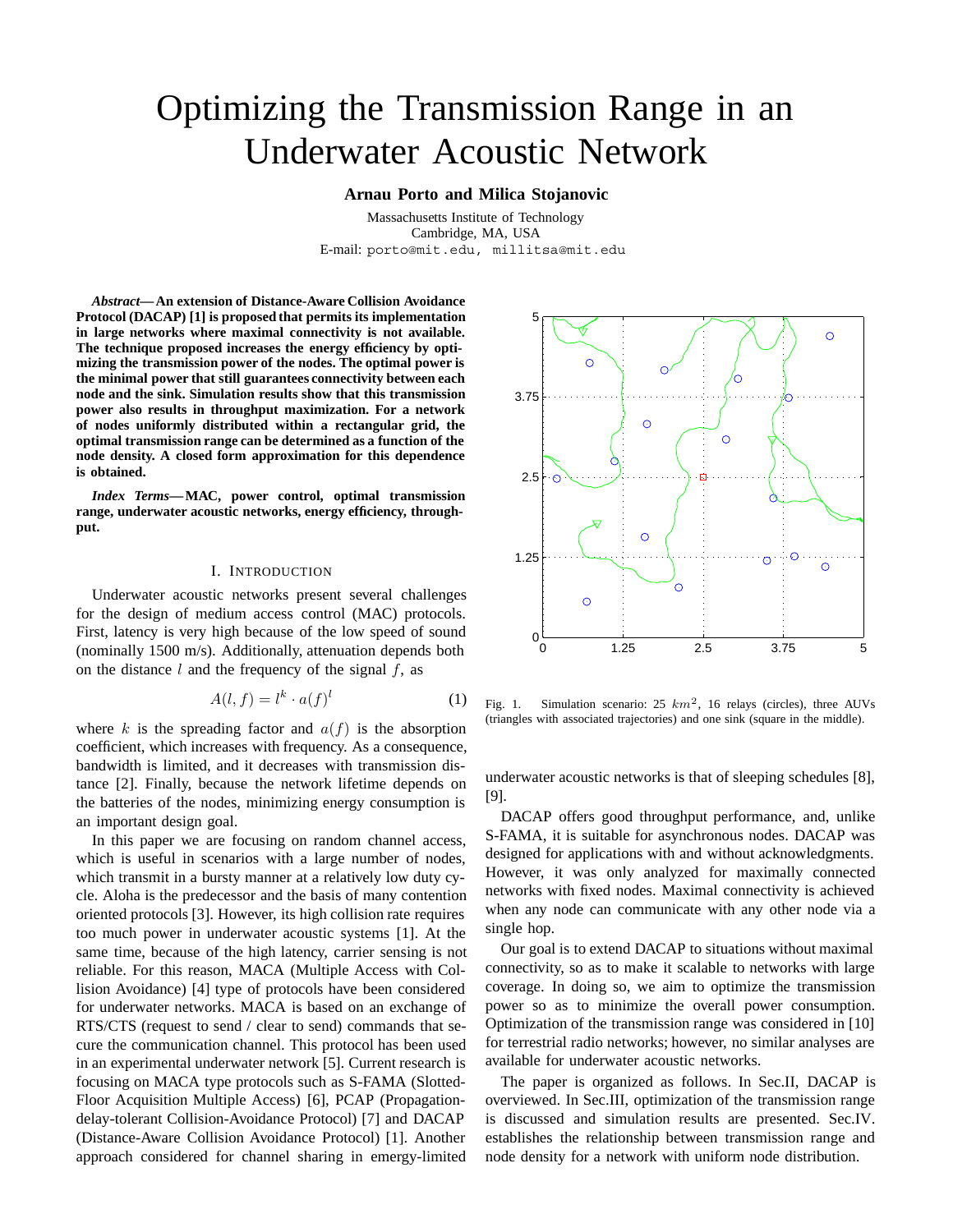# Optimizing the Transmission Range in an Underwater Acoustic Network

## **Arnau Porto and Milica Stojanovic**

Massachusetts Institute of Technology Cambridge, MA, USA E-mail: porto@mit.edu, millitsa@mit.edu

*Abstract***— An extension of Distance-Aware Collision Avoidance Protocol (DACAP) [1] is proposed that permits its implementation in large networks where maximal connectivity is not available. The technique proposed increases the energy efficiency by optimizing the transmission power of the nodes. The optimal power is the minimal power that still guarantees connectivity between each node and the sink. Simulation results show that this transmission power also results in throughput maximization. For a network of nodes uniformly distributed within a rectangular grid, the optimal transmission range can be determined as a function of the node density. A closed form approximation for this dependence is obtained.**

*Index Terms***— MAC, power control, optimal transmission range, underwater acoustic networks, energy efficiency, throughput.**

### I. INTRODUCTION

Underwater acoustic networks present several challenges for the design of medium access control (MAC) protocols. First, latency is very high because of the low speed of sound (nominally 1500 m/s). Additionally, attenuation depends both on the distance  $l$  and the frequency of the signal  $f$ , as

$$
A(l,f) = l^k \cdot a(f)^l \tag{1}
$$

where k is the spreading factor and  $a(f)$  is the absorption coefficient, which increases with frequency. As a consequence, bandwidth is limited, and it decreases with transmission distance [2]. Finally, because the network lifetime depends on the batteries of the nodes, minimizing energy consumption is an important design goal.

In this paper we are focusing on random channel access, which is useful in scenarios with a large number of nodes, which transmit in a bursty manner at a relatively low duty cycle. Aloha is the predecessor and the basis of many contention oriented protocols [3]. However, its high collision rate requires too much power in underwater acoustic systems [1]. At the same time, because of the high latency, carrier sensing is not reliable. For this reason, MACA (Multiple Access with Collision Avoidance) [4] type of protocols have been considered for underwater networks. MACA is based on an exchange of RTS/CTS (request to send / clear to send) commands that secure the communication channel. This protocol has been used in an experimental underwater network [5]. Current research is focusing on MACA type protocols such as S-FAMA (Slotted-Floor Acquisition Multiple Access) [6], PCAP (Propagationdelay-tolerant Collision-Avoidance Protocol) [7] and DACAP (Distance-Aware Collision Avoidance Protocol) [1]. Another approach considered for channel sharing in emergy-limited



Fig. 1. Simulation scenario:  $25 \ km^2$ , 16 relays (circles), three AUVs (triangles with associated trajectories) and one sink (square in the middle).

underwater acoustic networks is that of sleeping schedules [8], [9].

DACAP offers good throughput performance, and, unlike S-FAMA, it is suitable for asynchronous nodes. DACAP was designed for applications with and without acknowledgments. However, it was only analyzed for maximally connected networks with fixed nodes. Maximal connectivity is achieved when any node can communicate with any other node via a single hop.

Our goal is to extend DACAP to situations without maximal connectivity, so as to make it scalable to networks with large coverage. In doing so, we aim to optimize the transmission power so as to minimize the overall power consumption. Optimization of the transmission range was considered in [10] for terrestrial radio networks; however, no similar analyses are available for underwater acoustic networks.

The paper is organized as follows. In Sec.II, DACAP is overviewed. In Sec.III, optimization of the transmission range is discussed and simulation results are presented. Sec.IV. establishes the relationship between transmission range and node density for a network with uniform node distribution.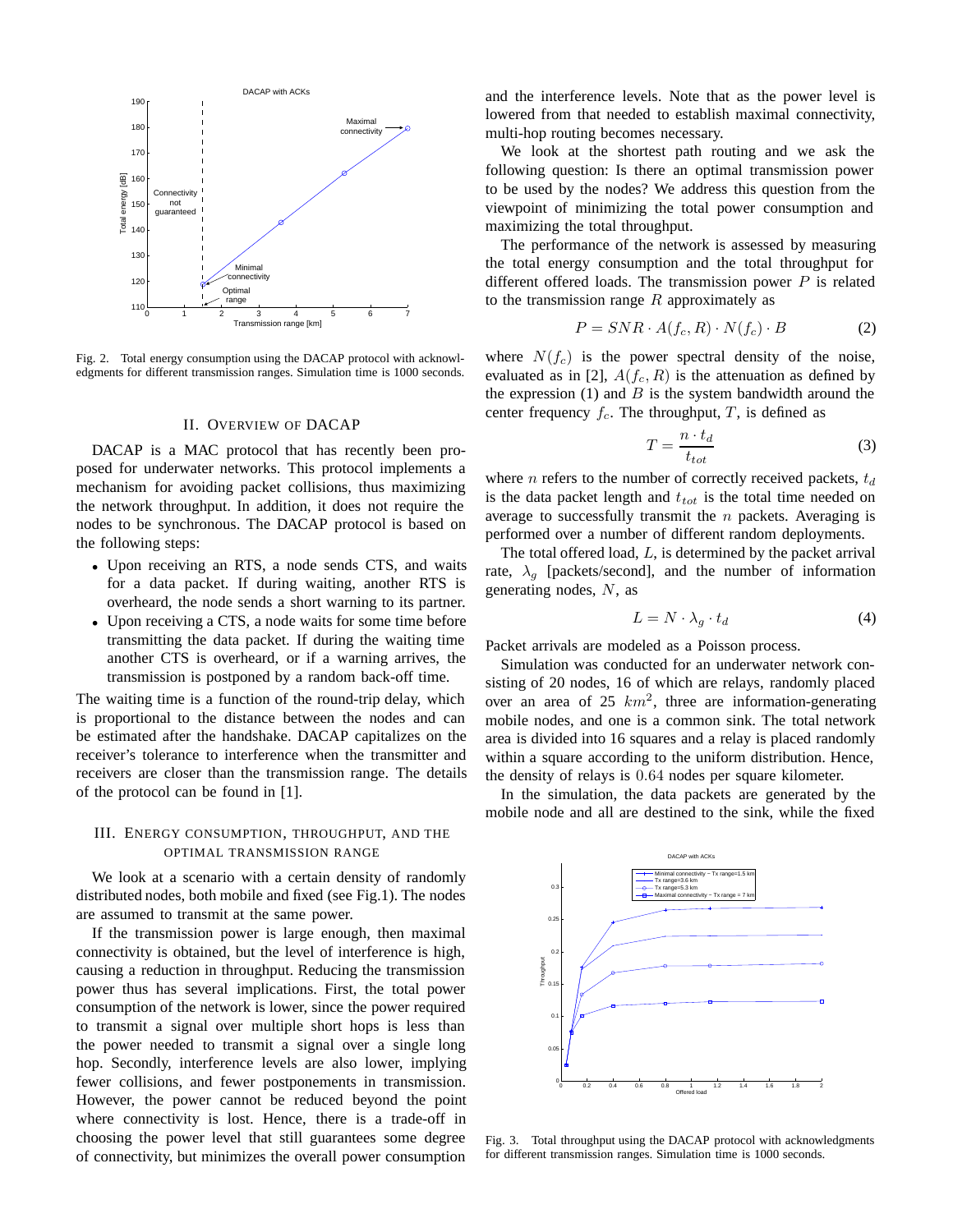

Fig. 2. Total energy consumption using the DACAP protocol with acknowledgments for different transmission ranges. Simulation time is 1000 seconds.

#### II. OVERVIEW OF DACAP

DACAP is a MAC protocol that has recently been proposed for underwater networks. This protocol implements a mechanism for avoiding packet collisions, thus maximizing the network throughput. In addition, it does not require the nodes to be synchronous. The DACAP protocol is based on the following steps:

- *•* Upon receiving an RTS, a node sends CTS, and waits for a data packet. If during waiting, another RTS is overheard, the node sends a short warning to its partner.
- *•* Upon receiving a CTS, a node waits for some time before transmitting the data packet. If during the waiting time another CTS is overheard, or if a warning arrives, the transmission is postponed by a random back-off time.

The waiting time is a function of the round-trip delay, which is proportional to the distance between the nodes and can be estimated after the handshake. DACAP capitalizes on the receiver's tolerance to interference when the transmitter and receivers are closer than the transmission range. The details of the protocol can be found in [1].

## III. ENERGY CONSUMPTION, THROUGHPUT, AND THE OPTIMAL TRANSMISSION RANGE

We look at a scenario with a certain density of randomly distributed nodes, both mobile and fixed (see Fig.1). The nodes are assumed to transmit at the same power.

If the transmission power is large enough, then maximal connectivity is obtained, but the level of interference is high, causing a reduction in throughput. Reducing the transmission power thus has several implications. First, the total power consumption of the network is lower, since the power required to transmit a signal over multiple short hops is less than the power needed to transmit a signal over a single long hop. Secondly, interference levels are also lower, implying fewer collisions, and fewer postponements in transmission. However, the power cannot be reduced beyond the point where connectivity is lost. Hence, there is a trade-off in choosing the power level that still guarantees some degree of connectivity, but minimizes the overall power consumption and the interference levels. Note that as the power level is lowered from that needed to establish maximal connectivity, multi-hop routing becomes necessary.

We look at the shortest path routing and we ask the following question: Is there an optimal transmission power to be used by the nodes? We address this question from the viewpoint of minimizing the total power consumption and maximizing the total throughput.

The performance of the network is assessed by measuring the total energy consumption and the total throughput for different offered loads. The transmission power  $P$  is related to the transmission range  $R$  approximately as

$$
P = SNR \cdot A(f_c, R) \cdot N(f_c) \cdot B \tag{2}
$$

where  $N(f_c)$  is the power spectral density of the noise, evaluated as in [2],  $A(f_c, R)$  is the attenuation as defined by the expression  $(1)$  and  $B$  is the system bandwidth around the center frequency  $f_c$ . The throughput, T, is defined as

$$
T = \frac{n \cdot t_d}{t_{tot}} \tag{3}
$$

where *n* refers to the number of correctly received packets,  $t_d$ is the data packet length and  $t_{tot}$  is the total time needed on average to successfully transmit the  $n$  packets. Averaging is performed over a number of different random deployments.

The total offered load, L, is determined by the packet arrival rate,  $\lambda_q$  [packets/second], and the number of information generating nodes,  $N$ , as

$$
L = N \cdot \lambda_g \cdot t_d \tag{4}
$$

Packet arrivals are modeled as a Poisson process.

Simulation was conducted for an underwater network consisting of 20 nodes, 16 of which are relays, randomly placed over an area of 25  $km^2$ , three are information-generating mobile nodes, and one is a common sink. The total network area is divided into 16 squares and a relay is placed randomly within a square according to the uniform distribution. Hence, the density of relays is 0.64 nodes per square kilometer.

In the simulation, the data packets are generated by the mobile node and all are destined to the sink, while the fixed



Fig. 3. Total throughput using the DACAP protocol with acknowledgments for different transmission ranges. Simulation time is 1000 seconds.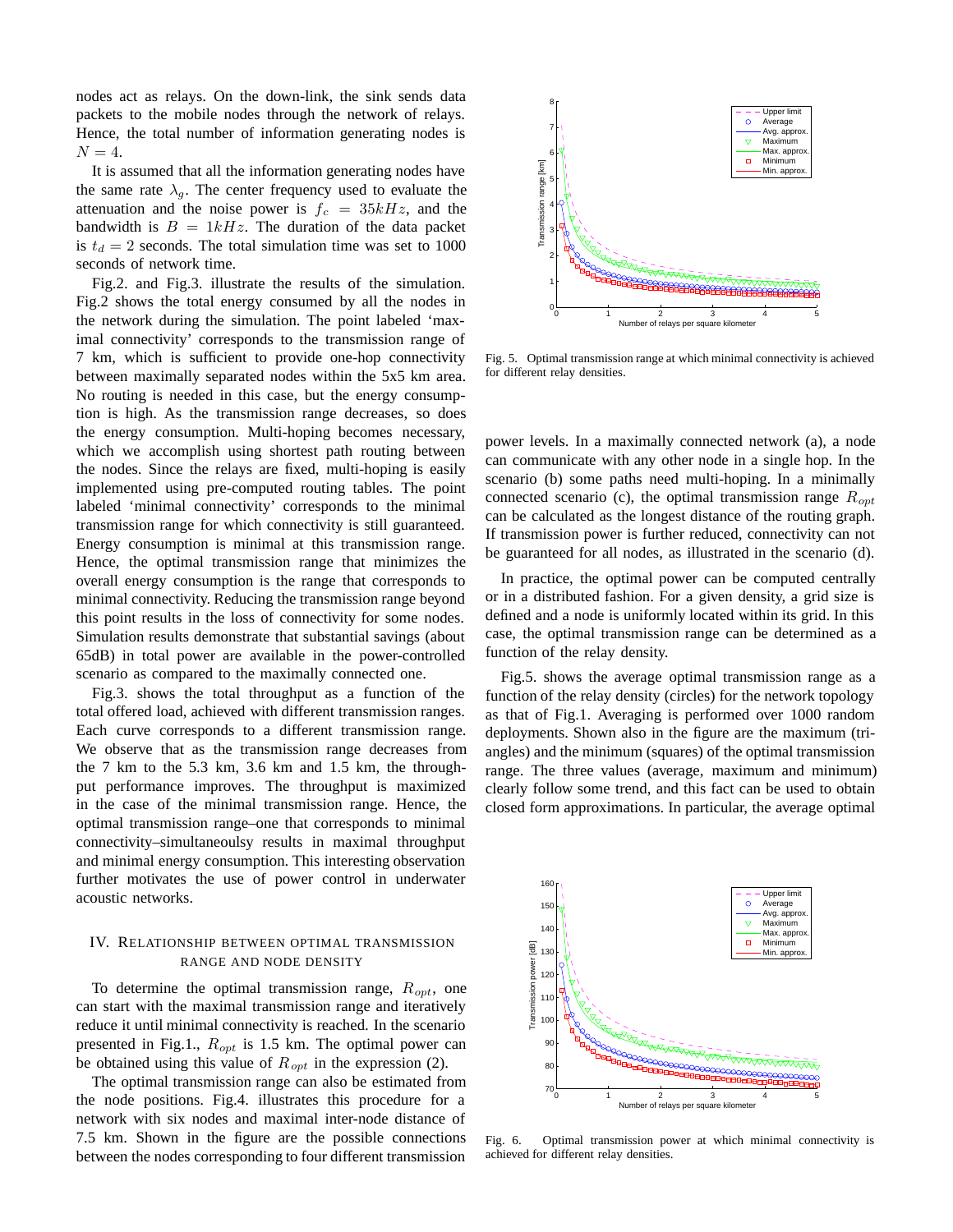nodes act as relays. On the down-link, the sink sends data packets to the mobile nodes through the network of relays. Hence, the total number of information generating nodes is  $N = 4$ .

It is assumed that all the information generating nodes have the same rate  $\lambda_q$ . The center frequency used to evaluate the attenuation and the noise power is  $f_c = 35kHz$ , and the bandwidth is  $B = 1kHz$ . The duration of the data packet is  $t_d = 2$  seconds. The total simulation time was set to 1000 seconds of network time.

Fig.2. and Fig.3. illustrate the results of the simulation. Fig.2 shows the total energy consumed by all the nodes in the network during the simulation. The point labeled 'maximal connectivity' corresponds to the transmission range of 7 km, which is sufficient to provide one-hop connectivity between maximally separated nodes within the 5x5 km area. No routing is needed in this case, but the energy consumption is high. As the transmission range decreases, so does the energy consumption. Multi-hoping becomes necessary, which we accomplish using shortest path routing between the nodes. Since the relays are fixed, multi-hoping is easily implemented using pre-computed routing tables. The point labeled 'minimal connectivity' corresponds to the minimal transmission range for which connectivity is still guaranteed. Energy consumption is minimal at this transmission range. Hence, the optimal transmission range that minimizes the overall energy consumption is the range that corresponds to minimal connectivity. Reducing the transmission range beyond this point results in the loss of connectivity for some nodes. Simulation results demonstrate that substantial savings (about 65dB) in total power are available in the power-controlled scenario as compared to the maximally connected one.

Fig.3. shows the total throughput as a function of the total offered load, achieved with different transmission ranges. Each curve corresponds to a different transmission range. We observe that as the transmission range decreases from the 7 km to the 5.3 km, 3.6 km and 1.5 km, the throughput performance improves. The throughput is maximized in the case of the minimal transmission range. Hence, the optimal transmission range–one that corresponds to minimal connectivity–simultaneoulsy results in maximal throughput and minimal energy consumption. This interesting observation further motivates the use of power control in underwater acoustic networks.

# IV. RELATIONSHIP BETWEEN OPTIMAL TRANSMISSION RANGE AND NODE DENSITY

To determine the optimal transmission range,  $R_{opt}$ , one can start with the maximal transmission range and iteratively reduce it until minimal connectivity is reached. In the scenario presented in Fig.1.,  $R_{opt}$  is 1.5 km. The optimal power can be obtained using this value of  $R_{opt}$  in the expression (2).

The optimal transmission range can also be estimated from the node positions. Fig.4. illustrates this procedure for a network with six nodes and maximal inter-node distance of 7.5 km. Shown in the figure are the possible connections between the nodes corresponding to four different transmission



Fig. 5. Optimal transmission range at which minimal connectivity is achieved for different relay densities.

power levels. In a maximally connected network (a), a node can communicate with any other node in a single hop. In the scenario (b) some paths need multi-hoping. In a minimally connected scenario (c), the optimal transmission range  $R_{opt}$ can be calculated as the longest distance of the routing graph. If transmission power is further reduced, connectivity can not be guaranteed for all nodes, as illustrated in the scenario (d).

In practice, the optimal power can be computed centrally or in a distributed fashion. For a given density, a grid size is defined and a node is uniformly located within its grid. In this case, the optimal transmission range can be determined as a function of the relay density.

Fig.5. shows the average optimal transmission range as a function of the relay density (circles) for the network topology as that of Fig.1. Averaging is performed over 1000 random deployments. Shown also in the figure are the maximum (triangles) and the minimum (squares) of the optimal transmission range. The three values (average, maximum and minimum) clearly follow some trend, and this fact can be used to obtain closed form approximations. In particular, the average optimal



Fig. 6. Optimal transmission power at which minimal connectivity is achieved for different relay densities.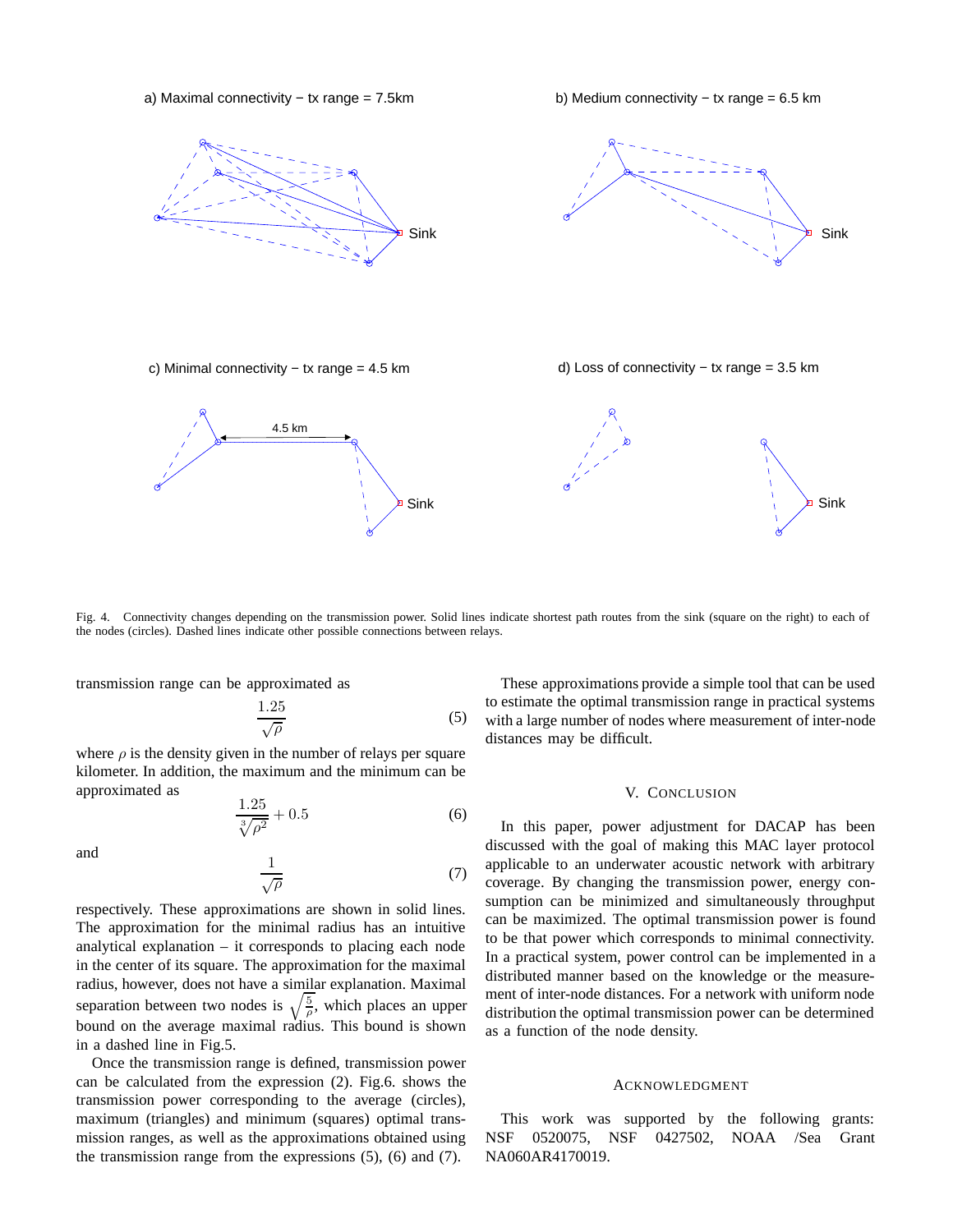a) Maximal connectivity − tx range = 7.5km

b) Medium connectivity − tx range = 6.5 km





c) Minimal connectivity − tx range = 4.5 km





Fig. 4. Connectivity changes depending on the transmission power. Solid lines indicate shortest path routes from the sink (square on the right) to each of the nodes (circles). Dashed lines indicate other possible connections between relays.

transmission range can be approximated as

$$
\frac{1.25}{\sqrt{\rho}}\tag{5}
$$

where  $\rho$  is the density given in the number of relays per square kilometer. In addition, the maximum and the minimum can be approximated as

$$
\frac{1.25}{\sqrt[3]{\rho^2}} + 0.5\tag{6}
$$

and 
$$
\frac{1}{\sqrt{\rho}}
$$
 (7)

respectively. These approximations are shown in solid lines. The approximation for the minimal radius has an intuitive analytical explanation – it corresponds to placing each node in the center of its square. The approximation for the maximal radius, however, does not have a similar explanation. Maximal separation between two nodes is  $\sqrt{\frac{5}{\rho}}$ , which places an upper bound on the average maximal radius. This bound is shown in a dashed line in Fig.5.

Once the transmission range is defined, transmission power can be calculated from the expression (2). Fig.6. shows the transmission power corresponding to the average (circles), maximum (triangles) and minimum (squares) optimal transmission ranges, as well as the approximations obtained using the transmission range from the expressions (5), (6) and (7).

These approximations provide a simple tool that can be used to estimate the optimal transmission range in practical systems with a large number of nodes where measurement of inter-node distances may be difficult.

## V. CONCLUSION

In this paper, power adjustment for DACAP has been discussed with the goal of making this MAC layer protocol applicable to an underwater acoustic network with arbitrary coverage. By changing the transmission power, energy consumption can be minimized and simultaneously throughput can be maximized. The optimal transmission power is found to be that power which corresponds to minimal connectivity. In a practical system, power control can be implemented in a distributed manner based on the knowledge or the measurement of inter-node distances. For a network with uniform node distribution the optimal transmission power can be determined as a function of the node density.

#### ACKNOWLEDGMENT

This work was supported by the following grants: NSF 0520075, NSF 0427502, NOAA /Sea Grant NA060AR4170019.